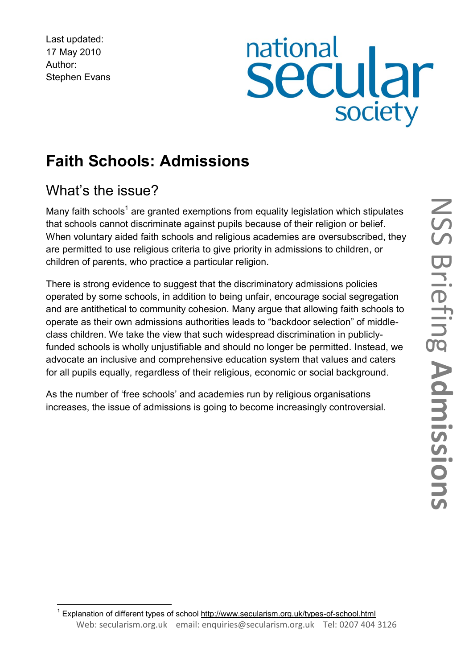Last updated: 17 May 2010 Author: Stephen Evans

# national<br>Secular society

# **Faith Schools: Admissions**

# What's the issue?

Many faith schools<sup>1</sup> are granted exemptions from equality legislation which stipulates that schools cannot discriminate against pupils because of their religion or belief. When voluntary aided faith schools and religious academies are oversubscribed, they are permitted to use religious criteria to give priority in admissions to children, or children of parents, who practice a particular religion.

There is strong evidence to suggest that the discriminatory admissions policies operated by some schools, in addition to being unfair, encourage social segregation and are antithetical to community cohesion. Many argue that allowing faith schools to operate as their own admissions authorities leads to "backdoor selection" of middleclass children. We take the view that such widespread discrimination in publiclyfunded schools is wholly unjustifiable and should no longer be permitted. Instead, we advocate an inclusive and comprehensive education system that values and caters for all pupils equally, regardless of their religious, economic or social background.

As the number of "free schools" and academies run by religious organisations increases, the issue of admissions is going to become increasingly controversial.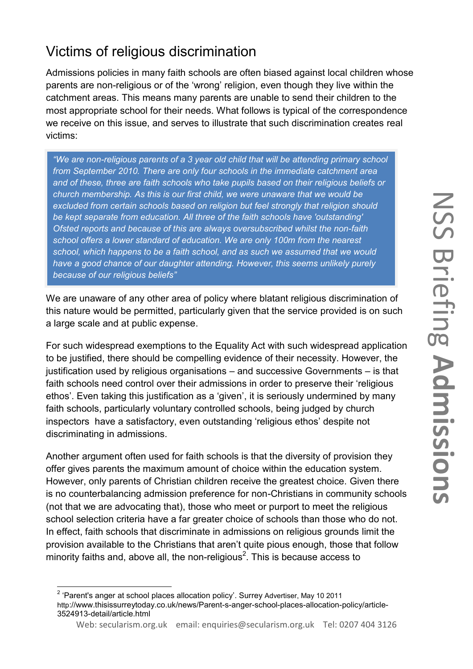# Victims of religious discrimination

Admissions policies in many faith schools are often biased against local children whose parents are non-religious or of the "wrong" religion, even though they live within the catchment areas. This means many parents are unable to send their children to the most appropriate school for their needs. What follows is typical of the correspondence we receive on this issue, and serves to illustrate that such discrimination creates real victims:

*"We are non-religious parents of a 3 year old child that will be attending primary school from September 2010. There are only four schools in the immediate catchment area and of these, three are faith schools who take pupils based on their religious beliefs or church membership. As this is our first child, we were unaware that we would be excluded from certain schools based on religion but feel strongly that religion should be kept separate from education. All three of the faith schools have 'outstanding' Ofsted reports and because of this are always oversubscribed whilst the non-faith school offers a lower standard of education. We are only 100m from the nearest school, which happens to be a faith school, and as such we assumed that we would have a good chance of our daughter attending. However, this seems unlikely purely because of our religious beliefs"*

We are unaware of any other area of policy where blatant religious discrimination of this nature would be permitted, particularly given that the service provided is on such a large scale and at public expense.

For such widespread exemptions to the Equality Act with such widespread application to be justified, there should be compelling evidence of their necessity. However, the justification used by religious organisations – and successive Governments – is that faith schools need control over their admissions in order to preserve their "religious ethos". Even taking this justification as a "given", it is seriously undermined by many faith schools, particularly voluntary controlled schools, being judged by church inspectors have a satisfactory, even outstanding "religious ethos" despite not discriminating in admissions.

Another argument often used for faith schools is that the diversity of provision they offer gives parents the maximum amount of choice within the education system. However, only parents of Christian children receive the greatest choice. Given there is no counterbalancing admission preference for non-Christians in community schools (not that we are advocating that), those who meet or purport to meet the religious school selection criteria have a far greater choice of schools than those who do not. In effect, faith schools that discriminate in admissions on religious grounds limit the provision available to the Christians that aren"t quite pious enough, those that follow minority faiths and, above all, the non-religious<sup>2</sup>. This is because access to

 2 "Parent's anger at school places allocation policy". Surrey Advertiser, May 10 2011 http://www.thisissurreytoday.co.uk/news/Parent-s-anger-school-places-allocation-policy/article-3524913-detail/article.html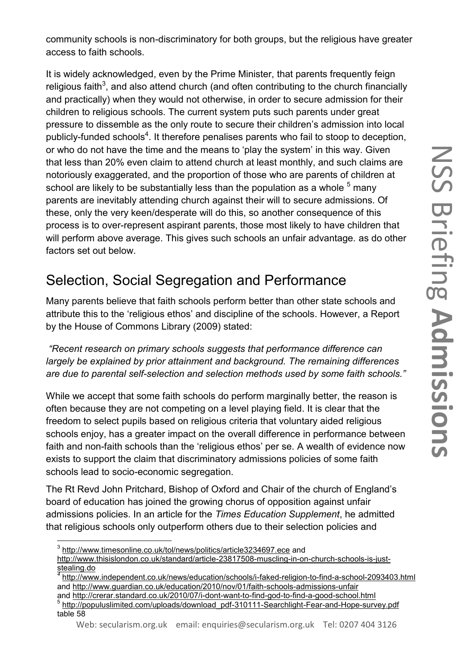community schools is non-discriminatory for both groups, but the religious have greater access to faith schools.

It is widely acknowledged, even by the Prime Minister, that parents frequently feign religious faith<sup>3</sup>, and also attend church (and often contributing to the church financially and practically) when they would not otherwise, in order to secure admission for their children to religious schools. The current system puts such parents under great pressure to dissemble as the only route to secure their children"s admission into local publicly-funded schools<sup>4</sup>. It therefore penalises parents who fail to stoop to deception, or who do not have the time and the means to "play the system" in this way. Given that less than 20% even claim to attend church at least monthly, and such claims are notoriously exaggerated, and the proportion of those who are parents of children at school are likely to be substantially less than the population as a whole  $5$  many parents are inevitably attending church against their will to secure admissions. Of these, only the very keen/desperate will do this, so another consequence of this process is to over-represent aspirant parents, those most likely to have children that will perform above average. This gives such schools an unfair advantage. as do other factors set out below.

#### Selection, Social Segregation and Performance

Many parents believe that faith schools perform better than other state schools and attribute this to the "religious ethos" and discipline of the schools. However, a Report by the House of Commons Library (2009) stated:

*"Recent research on primary schools suggests that performance difference can largely be explained by prior attainment and background. The remaining differences are due to parental self-selection and selection methods used by some faith schools."*

While we accept that some faith schools do perform marginally better, the reason is often because they are not competing on a level playing field. It is clear that the freedom to select pupils based on religious criteria that voluntary aided religious schools enjoy, has a greater impact on the overall difference in performance between faith and non-faith schools than the 'religious ethos' per se. A wealth of evidence now exists to support the claim that discriminatory admissions policies of some faith schools lead to socio-economic segregation.

The Rt Revd John Pritchard, Bishop of Oxford and Chair of the church of England"s board of education has joined the growing chorus of opposition against unfair admissions policies. In an article for the *Times Education Supplement*, he admitted that religious schools only outperform others due to their selection policies and

 3 <http://www.timesonline.co.uk/tol/news/politics/article3234697.ece> and

[http://www.thisislondon.co.uk/standard/article-23817508-muscling-in-on-church-schools-is-just-](http://www.thisislondon.co.uk/standard/article-23817508-muscling-in-on-church-schools-is-just-stealing.do)

[stealing.do](http://www.thisislondon.co.uk/standard/article-23817508-muscling-in-on-church-schools-is-just-stealing.do) *4* <http://www.independent.co.uk/news/education/schools/i-faked-religion-to-find-a-school-2093403.html> and<http://www.guardian.co.uk/education/2010/nov/01/faith-schools-admissions-unfair>

and<http://crerar.standard.co.uk/2010/07/i-dont-want-to-find-god-to-find-a-good-school.html>

<sup>&</sup>lt;sup>5</sup> [http://populuslimited.com/uploads/download\\_pdf-310111-Searchlight-Fear-and-Hope-survey.pdf](http://populuslimited.com/uploads/download_pdf-310111-Searchlight-Fear-and-Hope-survey.pdf) table 58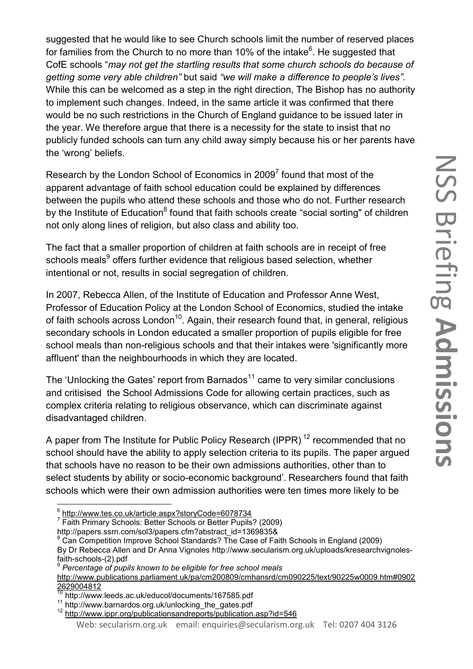suggested that he would like to see Church schools limit the number of reserved places for families from the Church to no more than 10% of the intake<sup>6</sup>. He suggested that CofE schools "*may not get the startling results that some church schools do because of getting some very able children"* but said *"we will make a difference to people's lives".* While this can be welcomed as a step in the right direction, The Bishop has no authority to implement such changes. Indeed, in the same article it was confirmed that there would be no such restrictions in the Church of England guidance to be issued later in the year. We therefore argue that there is a necessity for the state to insist that no publicly funded schools can turn any child away simply because his or her parents have the 'wrong' beliefs.

Research by the London School of Economics in 2009 $^7$  found that most of the apparent advantage of faith school education could be explained by differences between the pupils who attend these schools and those who do not. Further research by the Institute of Education<sup>8</sup> found that faith schools create "social sorting" of children not only along lines of religion, but also class and ability too.

The fact that a smaller proportion of children at faith schools are in receipt of free schools meals<sup>9</sup> offers further evidence that religious based selection, whether intentional or not, results in social segregation of children.

In 2007, Rebecca Allen, of the Institute of Education and Professor Anne West, Professor of Education Policy at the London School of Economics, studied the intake of faith schools across London<sup>10</sup>. Again, their research found that, in general, religious secondary schools in London educated a smaller proportion of pupils eligible for free school meals than non-religious schools and that their intakes were 'significantly more affluent' than the neighbourhoods in which they are located.

The 'Unlocking the Gates' report from Barnados<sup>11</sup> came to very similar conclusions and critisised the School Admissions Code for allowing certain practices, such as complex criteria relating to religious observance, which can discriminate against disadvantaged children.

A paper from The Institute for Public Policy Research (IPPR)<sup>12</sup> recommended that no school should have the ability to apply selection criteria to its pupils. The paper argued that schools have no reason to be their own admissions authorities, other than to select students by ability or socio-economic background"*.* Researchers found that faith schools which were their own admission authorities were ten times more likely to be

**.** 

By Dr Rebecca Allen and Dr Anna Vignoles http://www.secularism.org.uk/uploads/kresearchvignolesfaith-schools-(2).pdf

<sup>6</sup> <http://www.tes.co.uk/article.aspx?storyCode=6078734>

<sup>&</sup>lt;sup>7</sup> Faith Primary Schools: Better Schools or Better Pupils? (2009)

http://papers.ssrn.com/sol3/papers.cfm?abstract\_id=1369835&

 $8$  Can Competition Improve School Standards? The Case of Faith Schools in England (2009)

<sup>9</sup> *Percentage of pupils known to be eligible for free school meals* 

[http://www.publications.parliament.uk/pa/cm200809/cmhansrd/cm090225/text/90225w0009.htm#0902](http://www.publications.parliament.uk/pa/cm200809/cmhansrd/cm090225/text/90225w0009.htm#09022629004812) [2629004812](http://www.publications.parliament.uk/pa/cm200809/cmhansrd/cm090225/text/90225w0009.htm#09022629004812)

<sup>&</sup>lt;sup>10</sup> http://www.leeds.ac.uk/educol/documents/167585.pdf

<sup>11</sup> http://www.barnardos.org.uk/unlocking\_the\_gates.pdf

<sup>&</sup>lt;sup>12</sup> <http://www.ippr.org/publicationsandreports/publication.asp?id=546>

Web: secularism.org.uk email: enquiries@secularism.org.uk Tel: 0207 404 3126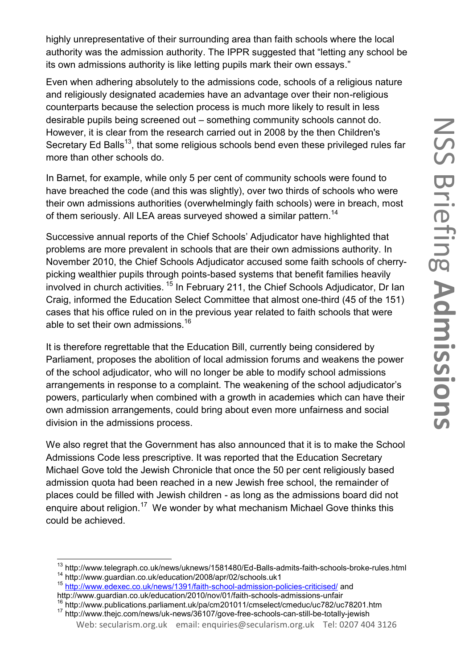highly unrepresentative of their surrounding area than faith schools where the local authority was the admission authority. The IPPR suggested that "letting any school be its own admissions authority is like letting pupils mark their own essays."

Even when adhering absolutely to the admissions code, schools of a religious nature and religiously designated academies have an advantage over their non-religious counterparts because the selection process is much more likely to result in less desirable pupils being screened out – something community schools cannot do. However, it is clear from the research carried out in 2008 by the then Children's Secretary Ed Balls<sup>13</sup>, that some religious schools bend even these privileged rules far more than other schools do.

In Barnet, for example, while only 5 per cent of community schools were found to have breached the code (and this was slightly), over two thirds of schools who were their own admissions authorities (overwhelmingly faith schools) were in breach, most of them seriously. All LEA areas surveyed showed a similar pattern.<sup>14</sup>

Successive annual reports of the Chief Schools" Adjudicator have highlighted that problems are more prevalent in schools that are their own admissions authority. In November 2010, the Chief Schools Adjudicator accused some faith schools of cherrypicking wealthier pupils through points-based systems that benefit families heavily involved in church activities. <sup>15</sup> In February 211, the Chief Schools Adjudicator, Dr Ian Craig, informed the Education Select Committee that almost one-third (45 of the 151) cases that his office ruled on in the previous year related to faith schools that were able to set their own admissions.<sup>16</sup>

It is therefore regrettable that the Education Bill, currently being considered by Parliament, proposes the abolition of local admission forums and weakens the power of the school adjudicator, who will no longer be able to modify school admissions arrangements in response to a complaint. The weakening of the school adjudicator"s powers, particularly when combined with a growth in academies which can have their own admission arrangements, could bring about even more unfairness and social division in the admissions process.

We also regret that the Government has also announced that it is to make the School Admissions Code less prescriptive. It was reported that the Education Secretary Michael Gove told the Jewish Chronicle that once the 50 per cent religiously based admission quota had been reached in a new Jewish free school, the remainder of places could be filled with Jewish children - as long as the admissions board did not enquire about religion.<sup>17</sup> We wonder by what mechanism Michael Gove thinks this could be achieved.

**.** 

<sup>&</sup>lt;sup>13</sup> http://www.telegraph.co.uk/news/uknews/1581480/Ed-Balls-admits-faith-schools-broke-rules.html

<sup>14</sup> http://www.guardian.co.uk/education/2008/apr/02/schools.uk1

<sup>15</sup> <http://www.edexec.co.uk/news/1391/faith-school-admission-policies-criticised/> and http://www.guardian.co.uk/education/2010/nov/01/faith-schools-admissions-unfair

<sup>16</sup> http://www.publications.parliament.uk/pa/cm201011/cmselect/cmeduc/uc782/uc78201.htm

Web: secularism.org.uk email: enquiries@secularism.org.uk Tel: 0207 404 3126 <sup>17</sup> http://www.thejc.com/news/uk-news/36107/gove-free-schools-can-still-be-totally-jewish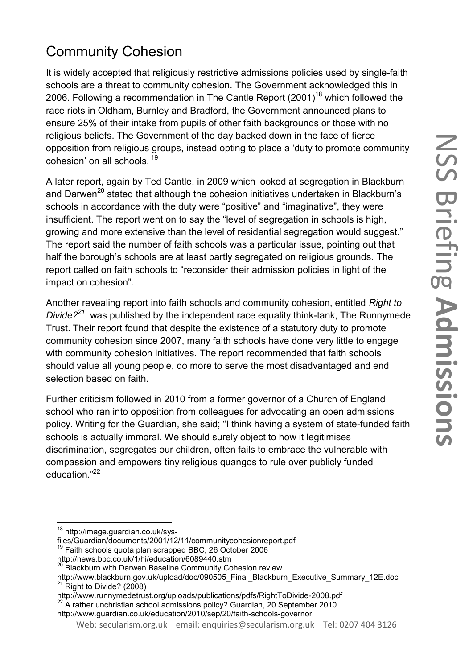# Community Cohesion

It is widely accepted that religiously restrictive admissions policies used by single-faith schools are a threat to community cohesion. The Government acknowledged this in 2006. Following a recommendation in The Cantle Report  $(2001)^{18}$  which followed the race riots in Oldham, Burnley and Bradford, the Government announced plans to ensure 25% of their intake from pupils of other faith backgrounds or those with no religious beliefs. The Government of the day backed down in the face of fierce opposition from religious groups, instead opting to place a "duty to promote community cohesion' on all schools.<sup>19</sup>

A later report, again by Ted Cantle, in 2009 which looked at segregation in Blackburn and Darwen<sup>20</sup> stated that although the cohesion initiatives undertaken in Blackburn's schools in accordance with the duty were "positive" and "imaginative", they were insufficient. The report went on to say the "level of segregation in schools is high, growing and more extensive than the level of residential segregation would suggest." The report said the number of faith schools was a particular issue, pointing out that half the borough's schools are at least partly segregated on religious grounds. The report called on faith schools to "reconsider their admission policies in light of the impact on cohesion".

Another revealing report into faith schools and community cohesion, entitled *Right to Divide? <sup>21</sup>* was published by the independent race equality think-tank, The Runnymede Trust. Their report found that despite the existence of a statutory duty to promote community cohesion since 2007, many faith schools have done very little to engage with community cohesion initiatives. The report recommended that faith schools should value all young people, do more to serve the most disadvantaged and end selection based on faith.

Further criticism followed in 2010 from a former governor of a Church of England school who ran into opposition from colleagues for advocating an open admissions policy. Writing for the Guardian, she said; "I think having a system of state-funded faith schools is actually immoral. We should surely object to how it legitimises discrimination, segregates our children, often fails to embrace the vulnerable with compassion and empowers tiny religious quangos to rule over publicly funded education."<sup>22</sup>

 $\overline{a}$ 

<sup>19</sup> Faith schools quota plan scrapped BBC, 26 October 2006

<sup>&</sup>lt;sup>18</sup> http://image.guardian.co.uk/sys-

files/Guardian/documents/2001/12/11/communitycohesionreport.pdf

<http://news.bbc.co.uk/1/hi/education/6089440.stm>

<sup>&</sup>lt;sup>20</sup> Blackburn with Darwen Baseline Community Cohesion review

http://www.blackburn.gov.uk/upload/doc/090505\_Final\_Blackburn\_Executive\_Summary\_12E.doc  $21$  Right to Divide? (2008)

http://www.runnymedetrust.org/uploads/publications/pdfs/RightToDivide-2008.pdf

 $^{22}$  A rather unchristian school admissions policy? Guardian, 20 September 2010.

http://www.guardian.co.uk/education/2010/sep/20/faith-schools-governor